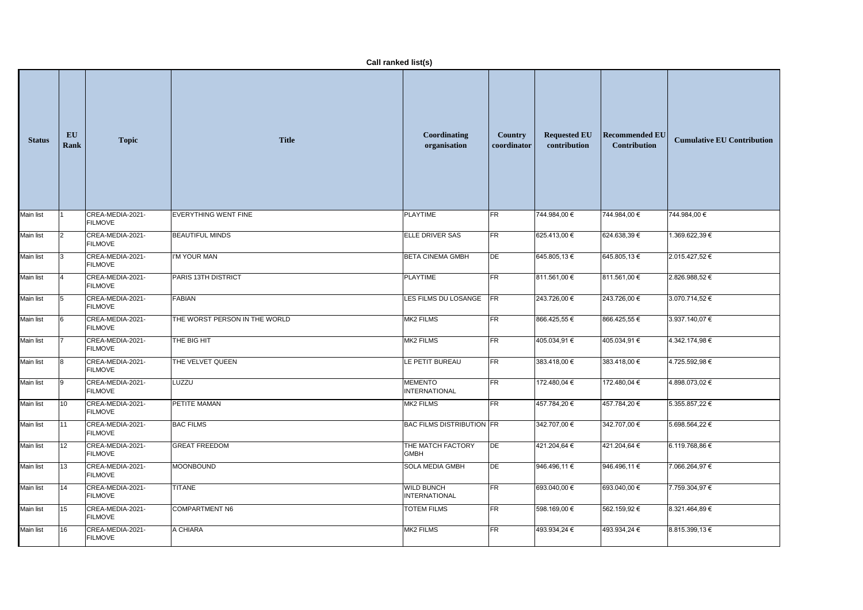|                  | Call ranked list(s) |                                    |                               |                                           |                               |                                     |                                              |                                   |  |  |  |
|------------------|---------------------|------------------------------------|-------------------------------|-------------------------------------------|-------------------------------|-------------------------------------|----------------------------------------------|-----------------------------------|--|--|--|
| <b>Status</b>    | EU<br><b>Rank</b>   | <b>Topic</b>                       | <b>Title</b>                  | Coordinating<br>organisation              | <b>Country</b><br>coordinator | <b>Requested EU</b><br>contribution | <b>Recommended EU</b><br><b>Contribution</b> | <b>Cumulative EU Contribution</b> |  |  |  |
| <b>Main list</b> |                     | CREA-MEDIA-2021-<br><b>FILMOVE</b> | EVERYTHING WENT FINE          | <b>PLAYTIME</b>                           | <b>FR</b>                     | 744.984,00 €                        | 744.984,00 €                                 | 744.984,00 €                      |  |  |  |
| Main list        | $\mathsf{I}2$       | CREA-MEDIA-2021-<br><b>FILMOVE</b> | <b>BEAUTIFUL MINDS</b>        | ELLE DRIVER SAS                           | FR                            | 625.413,00 €                        | 624.638,39€                                  | 1.369.622,39 €                    |  |  |  |
| <b>Main list</b> | 13                  | CREA-MEDIA-2021-<br><b>FILMOVE</b> | I'M YOUR MAN                  | <b>BETA CINEMA GMBH</b>                   | DE                            | 645.805,13€                         | 645.805,13€                                  | 2.015.427,52 €                    |  |  |  |
| <b>Main list</b> |                     | CREA-MEDIA-2021-<br><b>FILMOVE</b> | PARIS 13TH DISTRICT           | <b>PLAYTIME</b>                           | $\overline{\mathsf{FR}}$      | 811.561,00 €                        | 811.561,00 €                                 | 2.826.988,52 €                    |  |  |  |
| Main list        |                     | CREA-MEDIA-2021-<br><b>FILMOVE</b> | <b>FABIAN</b>                 | LES FILMS DU LOSANGE FR                   |                               | 243.726,00 €                        | 243.726,00 €                                 | 3.070.714,52 €                    |  |  |  |
| Main list        |                     | CREA-MEDIA-2021-<br><b>FILMOVE</b> | THE WORST PERSON IN THE WORLD | MK2 FILMS                                 | FR                            | 866.425,55 €                        | 866.425,55 €                                 | 3.937.140,07 €                    |  |  |  |
| Main list        |                     | CREA-MEDIA-2021-<br><b>FILMOVE</b> | THE BIG HIT                   | MK2 FILMS                                 | FR                            | 405.034,91 €                        | 405.034,91 €                                 | 4.342.174,98 €                    |  |  |  |
| Main list        |                     | CREA-MEDIA-2021-<br><b>FILMOVE</b> | THE VELVET QUEEN              | LE PETIT BUREAU                           | FR                            | 383.418,00 €                        | 383.418,00 €                                 | 4.725.592,98€                     |  |  |  |
| <b>Main list</b> | $\vert 9 \vert$     | CREA-MEDIA-2021-<br><b>FILMOVE</b> | LUZZU                         | <b>MEMENTO</b><br><b>INTERNATIONAL</b>    | FR                            | 172.480,04 €                        | 172.480,04 €                                 | 4.898.073,02 €                    |  |  |  |
| <b>Main list</b> | $ 10\rangle$        | CREA-MEDIA-2021-<br><b>FILMOVE</b> | PETITE MAMAN                  | MK2 FILMS                                 | FR                            | 457.784,20 €                        | 457.784,20€                                  | 5.355.857,22 €                    |  |  |  |
| Main list        | $\vert$ 11          | CREA-MEDIA-2021-<br><b>FILMOVE</b> | <b>BAC FILMS</b>              | <b>BAC FILMS DISTRIBUTION FR</b>          |                               | 342.707,00 €                        | 342.707,00 €                                 | 5.698.564,22 €                    |  |  |  |
| <b>Main list</b> | $ 12\rangle$        | CREA-MEDIA-2021-<br><b>FILMOVE</b> | <b>GREAT FREEDOM</b>          | THE MATCH FACTORY<br><b>GMBH</b>          | DE                            | 421.204,64 €                        | 421.204,64 €                                 | 6.119.768,86 €                    |  |  |  |
| Main list        | $ 13\rangle$        | CREA-MEDIA-2021-<br><b>FILMOVE</b> | MOONBOUND                     | <b>SOLA MEDIA GMBH</b>                    | DE                            | 946.496,11€                         | 946.496,11 €                                 | 7.066.264,97 €                    |  |  |  |
| Main list        | 14                  | CREA-MEDIA-2021-<br><b>FILMOVE</b> | <b>TITANE</b>                 | <b>WILD BUNCH</b><br><b>INTERNATIONAL</b> | FR                            | 693.040,00 €                        | 693.040,00 €                                 | 7.759.304,97 €                    |  |  |  |
| Main list        | $\vert$ 15          | CREA-MEDIA-2021-<br><b>FILMOVE</b> | COMPARTMENT N6                | <b>TOTEM FILMS</b>                        | FR                            | 598.169,00 €                        | 562.159,92 €                                 | 8.321.464,89 €                    |  |  |  |
| Main list        | 16                  | CREA-MEDIA-2021-<br><b>FILMOVE</b> | A CHIARA                      | MK2 FILMS                                 | FR                            | 493.934,24 €                        | 493.934,24 €                                 | 8.815.399,13 €                    |  |  |  |